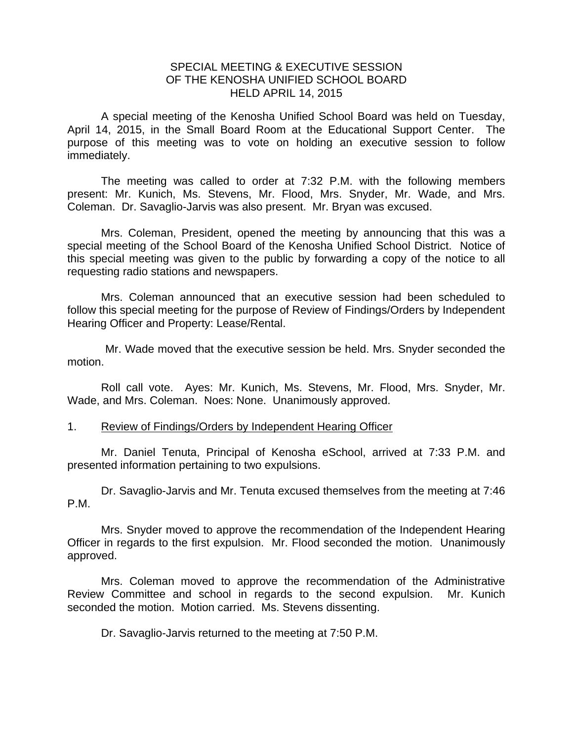## SPECIAL MEETING & EXECUTIVE SESSION OF THE KENOSHA UNIFIED SCHOOL BOARD HELD APRIL 14, 2015

A special meeting of the Kenosha Unified School Board was held on Tuesday, April 14, 2015, in the Small Board Room at the Educational Support Center. The purpose of this meeting was to vote on holding an executive session to follow immediately.

 The meeting was called to order at 7:32 P.M. with the following members present: Mr. Kunich, Ms. Stevens, Mr. Flood, Mrs. Snyder, Mr. Wade, and Mrs. Coleman. Dr. Savaglio-Jarvis was also present. Mr. Bryan was excused.

 Mrs. Coleman, President, opened the meeting by announcing that this was a special meeting of the School Board of the Kenosha Unified School District. Notice of this special meeting was given to the public by forwarding a copy of the notice to all requesting radio stations and newspapers.

 Mrs. Coleman announced that an executive session had been scheduled to follow this special meeting for the purpose of Review of Findings/Orders by Independent Hearing Officer and Property: Lease/Rental.

 Mr. Wade moved that the executive session be held. Mrs. Snyder seconded the motion.

Roll call vote. Ayes: Mr. Kunich, Ms. Stevens, Mr. Flood, Mrs. Snyder, Mr. Wade, and Mrs. Coleman. Noes: None. Unanimously approved.

## 1. Review of Findings/Orders by Independent Hearing Officer

Mr. Daniel Tenuta, Principal of Kenosha eSchool, arrived at 7:33 P.M. and presented information pertaining to two expulsions.

 Dr. Savaglio-Jarvis and Mr. Tenuta excused themselves from the meeting at 7:46 P.M.

 Mrs. Snyder moved to approve the recommendation of the Independent Hearing Officer in regards to the first expulsion. Mr. Flood seconded the motion. Unanimously approved.

Mrs. Coleman moved to approve the recommendation of the Administrative Review Committee and school in regards to the second expulsion. Mr. Kunich seconded the motion. Motion carried. Ms. Stevens dissenting.

Dr. Savaglio-Jarvis returned to the meeting at 7:50 P.M.